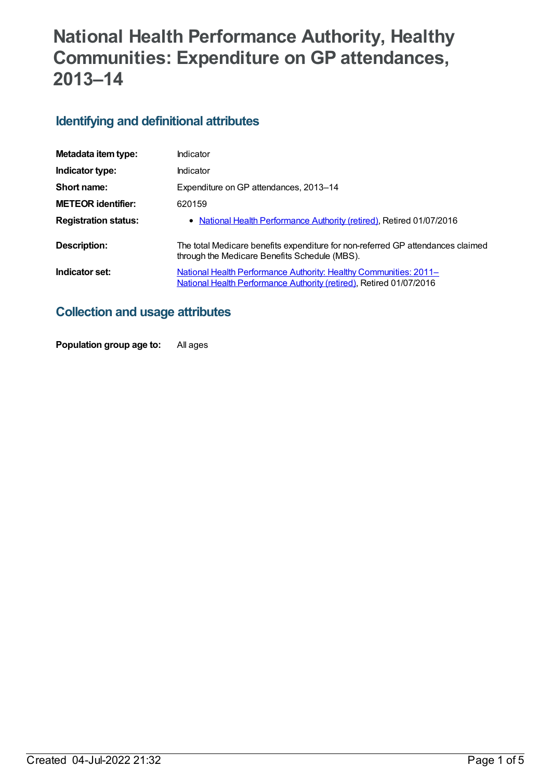# **National Health Performance Authority, Healthy Communities: Expenditure on GP attendances, 2013–14**

### **Identifying and definitional attributes**

| Metadata item type:         | Indicator                                                                                                                                |
|-----------------------------|------------------------------------------------------------------------------------------------------------------------------------------|
| Indicator type:             | Indicator                                                                                                                                |
| Short name:                 | Expenditure on GP attendances, 2013–14                                                                                                   |
| <b>METEOR identifier:</b>   | 620159                                                                                                                                   |
| <b>Registration status:</b> | • National Health Performance Authority (retired), Retired 01/07/2016                                                                    |
| Description:                | The total Medicare benefits expenditure for non-referred GP attendances claimed<br>through the Medicare Benefits Schedule (MBS).         |
| Indicator set:              | National Health Performance Authority: Healthy Communities: 2011-<br>National Health Performance Authority (retired), Retired 01/07/2016 |

### **Collection and usage attributes**

**Population group age to:** All ages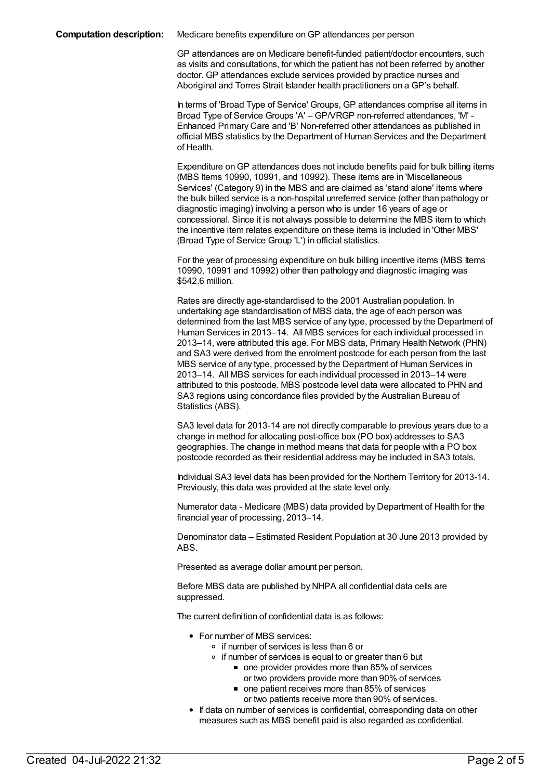GP attendances are on Medicare benefit-funded patient/doctor encounters, such as visits and consultations, for which the patient has not been referred by another doctor. GP attendances exclude services provided by practice nurses and Aboriginal and Torres Strait Islander health practitioners on a GP's behalf.

In terms of 'Broad Type of Service' Groups, GP attendances comprise all items in Broad Type of Service Groups 'A' – GP/VRGP non-referred attendances, 'M' - Enhanced Primary Care and 'B' Non-referred other attendances as published in official MBS statistics by the Department of Human Services and the Department of Health.

Expenditure onGP attendances does not include benefits paid for bulk billing items (MBS Items 10990, 10991, and 10992). These items are in 'Miscellaneous Services' (Category 9) in the MBS and are claimed as 'stand alone' items where the bulk billed service is a non-hospital unreferred service (other than pathology or diagnostic imaging) involving a person who is under 16 years of age or concessional. Since it is not always possible to determine the MBS item to which the incentive item relates expenditure on these items is included in 'Other MBS' (Broad Type of Service Group 'L') in official statistics.

For the year of processing expenditure on bulk billing incentive items (MBS Items 10990, 10991 and 10992) other than pathology and diagnostic imaging was \$542.6 million.

Rates are directly age-standardised to the 2001 Australian population. In undertaking age standardisation of MBS data, the age of each person was determined from the last MBS service of any type, processed by the Department of Human Services in 2013–14. All MBS services for each individual processed in 2013–14, were attributed this age. For MBS data, Primary Health Network (PHN) and SA3 were derived from the enrolment postcode for each person from the last MBS service of any type, processed by the Department of Human Services in 2013–14. All MBS services for each individual processed in 2013–14 were attributed to this postcode. MBS postcode level data were allocated to PHN and SA3 regions using concordance files provided by the Australian Bureau of Statistics (ABS).

SA3 level data for 2013-14 are not directly comparable to previous years due to a change in method for allocating post-office box (PO box) addresses to SA3 geographies. The change in method means that data for people with a PO box postcode recorded as their residential address may be included in SA3 totals.

Individual SA3 level data has been provided for the Northern Territory for 2013-14. Previously, this data was provided at the state level only.

Numerator data - Medicare (MBS) data provided by Department of Health for the financial year of processing, 2013–14.

Denominator data – Estimated Resident Population at 30 June 2013 provided by ABS.

Presented as average dollar amount per person.

Before MBS data are published by NHPA all confidential data cells are suppressed.

The current definition of confidential data is as follows:

- For number of MBS services:
	- if number of services is less than 6 or
		- if number of services is equal to or greater than 6 but
			- one provider provides more than 85% of services or two providers provide more than 90% of services
			- one patient receives more than 85% of services or two patients receive more than 90% of services.
- If data on number of services is confidential, corresponding data on other measures such as MBS benefit paid is also regarded as confidential.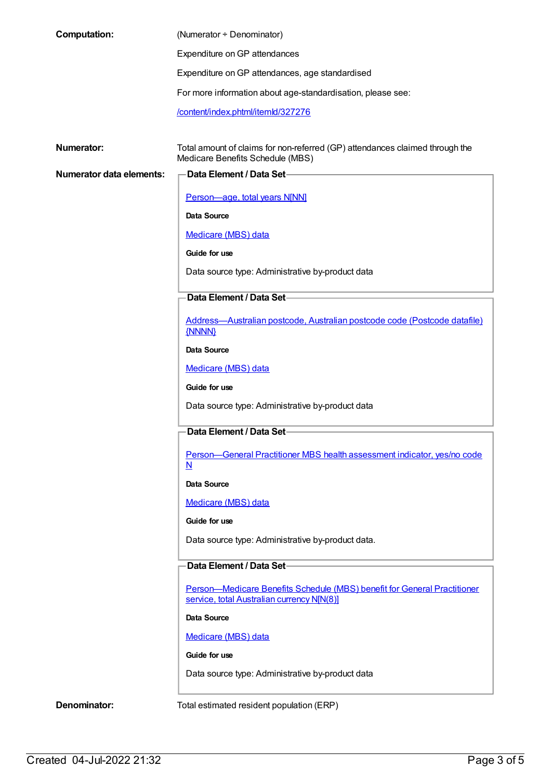| <b>Computation:</b>             | (Numerator + Denominator)                                                                                        |
|---------------------------------|------------------------------------------------------------------------------------------------------------------|
|                                 | Expenditure on GP attendances                                                                                    |
|                                 | Expenditure on GP attendances, age standardised                                                                  |
|                                 | For more information about age-standardisation, please see:                                                      |
|                                 | /content/index.phtml/itemld/327276                                                                               |
|                                 |                                                                                                                  |
| <b>Numerator:</b>               | Total amount of claims for non-referred (GP) attendances claimed through the<br>Medicare Benefits Schedule (MBS) |
| <b>Numerator data elements:</b> | Data Element / Data Set-                                                                                         |
|                                 | Person-age, total years N[NN]                                                                                    |
|                                 | Data Source                                                                                                      |
|                                 | Medicare (MBS) data                                                                                              |
|                                 | Guide for use                                                                                                    |
|                                 | Data source type: Administrative by-product data                                                                 |
|                                 | Data Element / Data Set-                                                                                         |
|                                 | Address-Australian postcode, Australian postcode code (Postcode datafile)                                        |
|                                 | {NNNN}                                                                                                           |
|                                 | Data Source                                                                                                      |
|                                 | Medicare (MBS) data                                                                                              |
|                                 | Guide for use                                                                                                    |
|                                 | Data source type: Administrative by-product data                                                                 |
|                                 | Data Element / Data Set-                                                                                         |
|                                 | Person-General Practitioner MBS health assessment indicator, yes/no code<br>$\underline{\mathbf{N}}$             |
|                                 | Data Source                                                                                                      |
|                                 | Medicare (MBS) data                                                                                              |
|                                 | Guide for use                                                                                                    |
|                                 | Data source type: Administrative by-product data.                                                                |
|                                 | Data Element / Data Set                                                                                          |
|                                 | Person-Medicare Benefits Schedule (MBS) benefit for General Practitioner                                         |
|                                 | service, total Australian currency N[N(8)]                                                                       |
|                                 | Data Source                                                                                                      |
|                                 | Medicare (MBS) data                                                                                              |
|                                 | Guide for use                                                                                                    |
|                                 | Data source type: Administrative by-product data                                                                 |
| Denominator:                    | Total estimated resident population (ERP)                                                                        |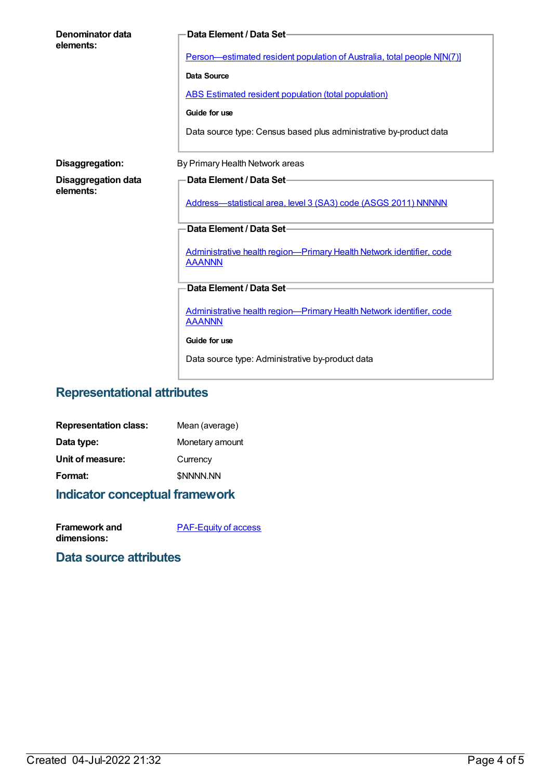| Denominator data<br>elements:           | Data Element / Data Set-<br>Person—estimated resident population of Australia, total people N[N(7)]<br><b>Data Source</b><br><b>ABS Estimated resident population (total population)</b><br>Guide for use<br>Data source type: Census based plus administrative by-product data |
|-----------------------------------------|---------------------------------------------------------------------------------------------------------------------------------------------------------------------------------------------------------------------------------------------------------------------------------|
|                                         |                                                                                                                                                                                                                                                                                 |
| Disaggregation:                         | By Primary Health Network areas                                                                                                                                                                                                                                                 |
| <b>Disaggregation data</b><br>elements: | Data Element / Data Set-<br>Address-statistical area, level 3 (SA3) code (ASGS 2011) NNNNN                                                                                                                                                                                      |
|                                         | Data Element / Data Set-                                                                                                                                                                                                                                                        |
|                                         | Administrative health region-Primary Health Network identifier, code<br><b>AAANNN</b>                                                                                                                                                                                           |
|                                         | Data Element / Data Set-                                                                                                                                                                                                                                                        |
|                                         | Administrative health region-Primary Health Network identifier, code<br><b>AAANNN</b>                                                                                                                                                                                           |
|                                         | Guide for use                                                                                                                                                                                                                                                                   |
|                                         | Data source type: Administrative by-product data                                                                                                                                                                                                                                |

## **Representational attributes**

| <b>Representation class:</b> | Mean (average)   |
|------------------------------|------------------|
| Data type:                   | Monetary amount  |
| Unit of measure:             | Currency         |
| Format:                      | <b>\$NNNN.NN</b> |
|                              |                  |

### **Indicator conceptual framework**

| Framework and | <b>PAF-Equity of access</b> |
|---------------|-----------------------------|
| dimensions:   |                             |

### **Data source attributes**